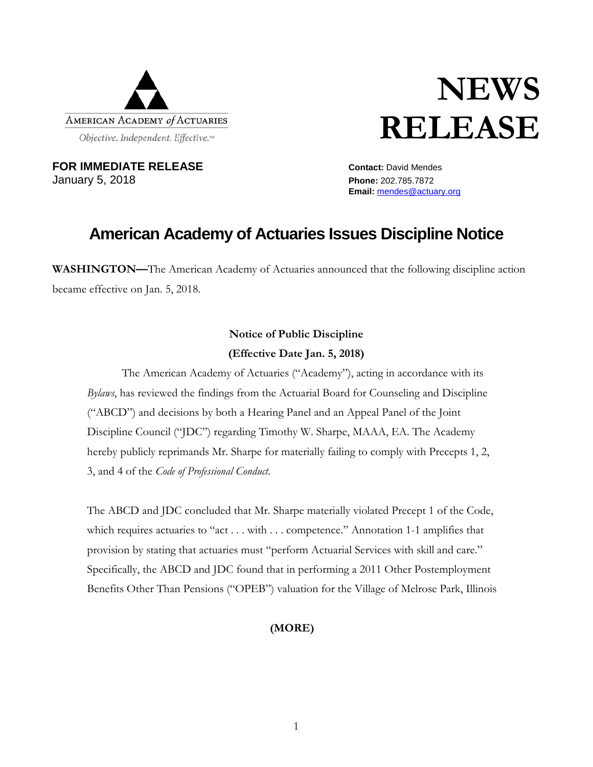

# **NEWS RELEASE**

**FOR IMMEDIATE RELEASE CONTACT:** David Mendes January 5, 2018 **Phone:** 202.785.7872

**Email:** [mendes@actuary.org](mailto:mendes@actuary.org)

# **American Academy of Actuaries Issues Discipline Notice**

**WASHINGTON—**The American Academy of Actuaries announced that the following discipline action became effective on Jan. 5, 2018.

## **Notice of Public Discipline (Effective Date Jan. 5, 2018)**

The American Academy of Actuaries ("Academy"), acting in accordance with its *Bylaws*, has reviewed the findings from the Actuarial Board for Counseling and Discipline ("ABCD") and decisions by both a Hearing Panel and an Appeal Panel of the Joint Discipline Council ("JDC") regarding Timothy W. Sharpe, MAAA, EA. The Academy hereby publicly reprimands Mr. Sharpe for materially failing to comply with Precepts 1, 2, 3, and 4 of the *Code of Professional Conduct*.

The ABCD and JDC concluded that Mr. Sharpe materially violated Precept 1 of the Code, which requires actuaries to "act . . . with . . . competence." Annotation 1-1 amplifies that provision by stating that actuaries must "perform Actuarial Services with skill and care." Specifically, the ABCD and JDC found that in performing a 2011 Other Postemployment Benefits Other Than Pensions ("OPEB") valuation for the Village of Melrose Park, Illinois

## **(MORE)**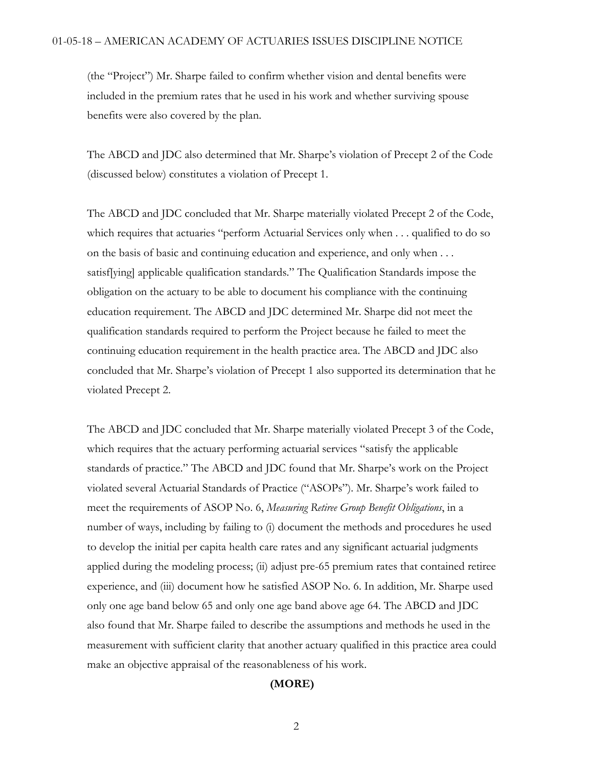(the "Project") Mr. Sharpe failed to confirm whether vision and dental benefits were included in the premium rates that he used in his work and whether surviving spouse benefits were also covered by the plan.

The ABCD and JDC also determined that Mr. Sharpe's violation of Precept 2 of the Code (discussed below) constitutes a violation of Precept 1.

The ABCD and JDC concluded that Mr. Sharpe materially violated Precept 2 of the Code, which requires that actuaries "perform Actuarial Services only when . . . qualified to do so on the basis of basic and continuing education and experience, and only when . . . satisf[ying] applicable qualification standards." The Qualification Standards impose the obligation on the actuary to be able to document his compliance with the continuing education requirement. The ABCD and JDC determined Mr. Sharpe did not meet the qualification standards required to perform the Project because he failed to meet the continuing education requirement in the health practice area. The ABCD and JDC also concluded that Mr. Sharpe's violation of Precept 1 also supported its determination that he violated Precept 2.

The ABCD and JDC concluded that Mr. Sharpe materially violated Precept 3 of the Code, which requires that the actuary performing actuarial services "satisfy the applicable standards of practice." The ABCD and JDC found that Mr. Sharpe's work on the Project violated several Actuarial Standards of Practice ("ASOPs"). Mr. Sharpe's work failed to meet the requirements of ASOP No. 6, *Measuring Retiree Group Benefit Obligations*, in a number of ways, including by failing to (i) document the methods and procedures he used to develop the initial per capita health care rates and any significant actuarial judgments applied during the modeling process; (ii) adjust pre-65 premium rates that contained retiree experience, and (iii) document how he satisfied ASOP No. 6. In addition, Mr. Sharpe used only one age band below 65 and only one age band above age 64. The ABCD and JDC also found that Mr. Sharpe failed to describe the assumptions and methods he used in the measurement with sufficient clarity that another actuary qualified in this practice area could make an objective appraisal of the reasonableness of his work.

### **(MORE)**

2